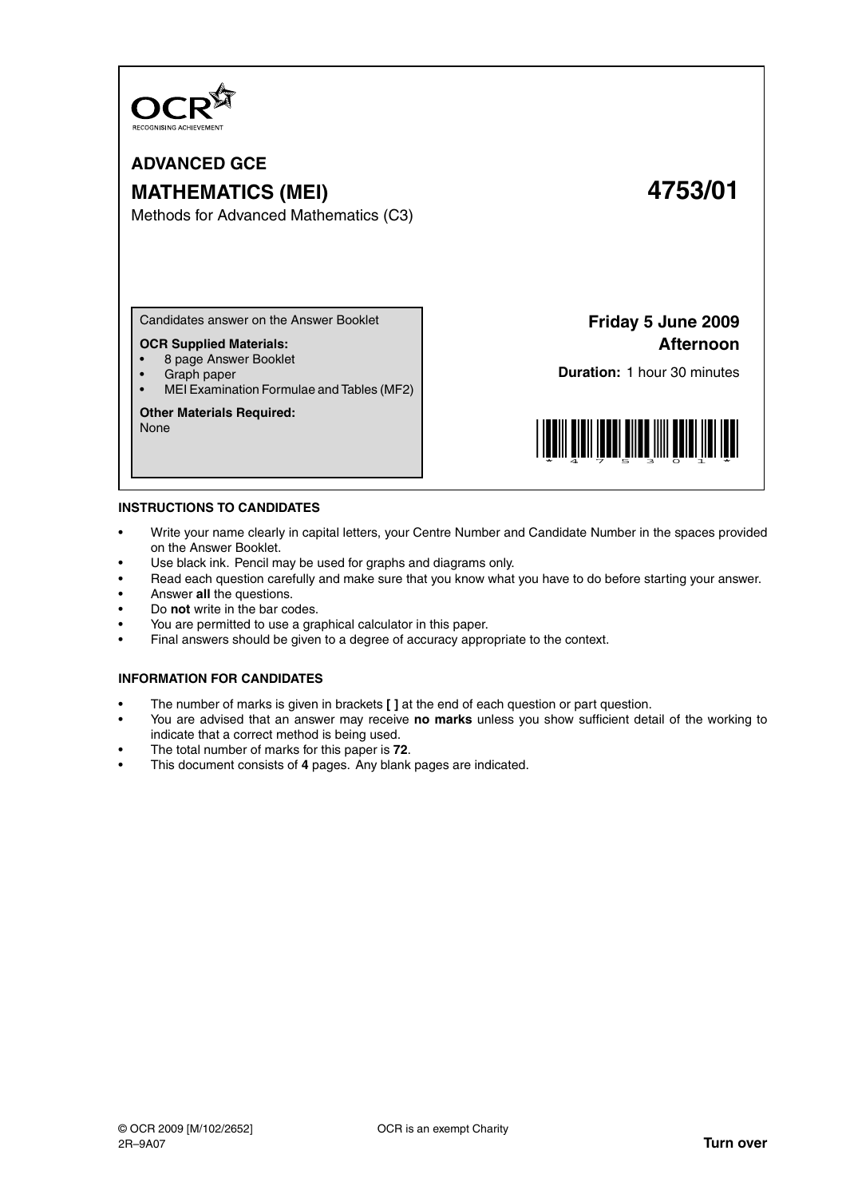

# **ADVANCED GCE MATHEMATICS (MEI) 4753/01**

Methods for Advanced Mathematics (C3)

Candidates answer on the Answer Booklet

# **OCR Supplied Materials:**

- 8 page Answer Booklet
- Graph paper
- MEI Examination Formulae and Tables (MF2)

#### **Other Materials Required:**

None

**Friday 5 June 2009 Afternoon**

**Duration:** 1 hour 30 minutes



#### **INSTRUCTIONS TO CANDIDATES**

- Write your name clearly in capital letters, your Centre Number and Candidate Number in the spaces provided on the Answer Booklet.
- Use black ink. Pencil may be used for graphs and diagrams only.
- Read each question carefully and make sure that you know what you have to do before starting your answer.
- Answer **all** the questions.
- Do **not** write in the bar codes.
- You are permitted to use a graphical calculator in this paper.
- Final answers should be given to a degree of accuracy appropriate to the context.

### **INFORMATION FOR CANDIDATES**

- The number of marks is given in brackets **[ ]** at the end of each question or part question.
- You are advised that an answer may receive **no marks** unless you show sufficient detail of the working to indicate that a correct method is being used.
- The total number of marks for this paper is **72**.
- This document consists of **4** pages. Any blank pages are indicated.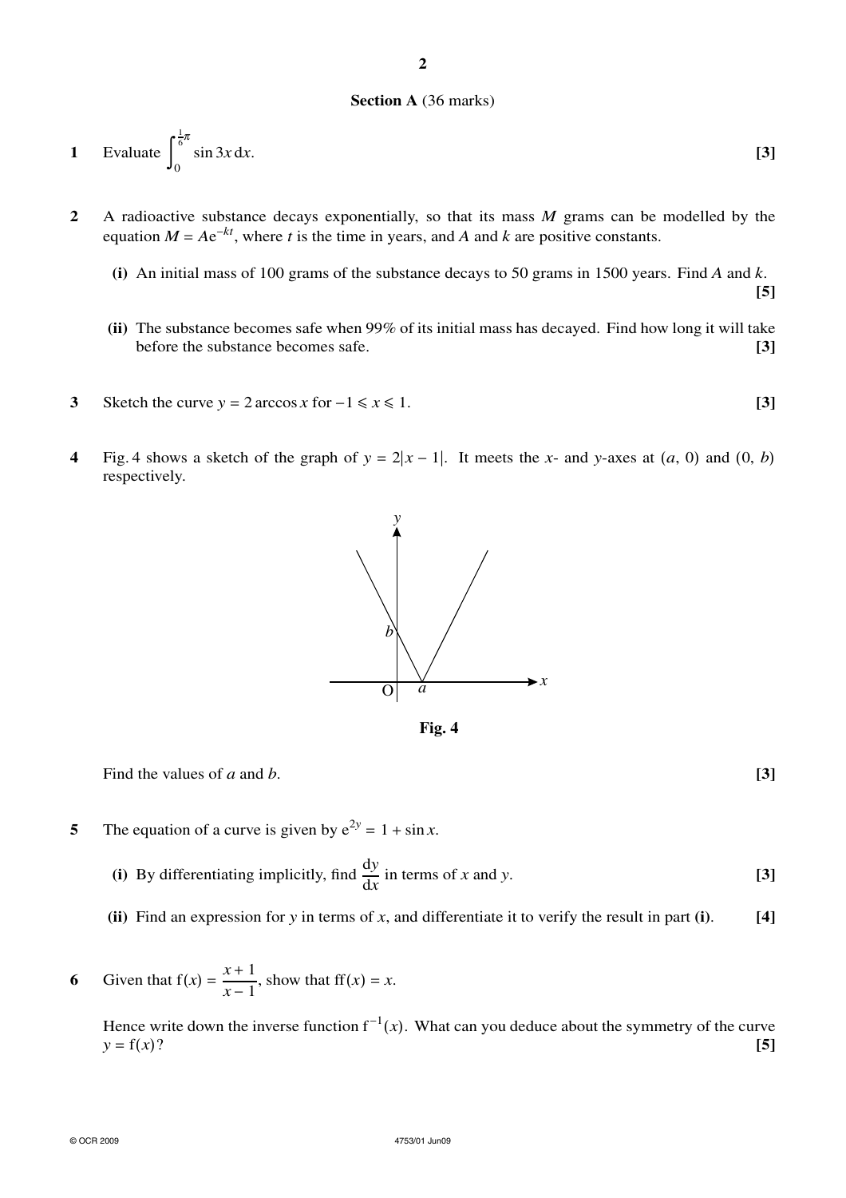# **Section A** (36 marks)

1 Evaluate 
$$
\int_0^{\frac{1}{6}\pi} \sin 3x \, dx.
$$
 [3]

- **2** A radioactive substance decays exponentially, so that its mass *M* grams can be modelled by the equation  $M = Ae^{-kt}$ , where *t* is the time in years, and *A* and *k* are positive constants.
	- **(i)** An initial mass of 100 grams of the substance decays to 50 grams in 1500 years. Find *A* and *k*. **[5]**
	- **(ii)** The substance becomes safe when 99% of its initial mass has decayed. Find how long it will take before the substance becomes safe. **[3]**
- **3** Sketch the curve  $y = 2 \arccos x$  for  $-1 \le x \le 1$ . **[3]**
- **4** Fig. 4 shows a sketch of the graph of  $y = 2|x-1|$ . It meets the *x* and *y*-axes at  $(a, 0)$  and  $(0, b)$ respectively.



**Fig. 4**

Find the values of *a* and *b*. **[3]**

**5** The equation of a curve is given by  $e^{2y} = 1 + \sin x$ .

**(i)** By differentiating implicitly, find  $\frac{dy}{dx}$  in terms of *x* and *y*. [3]

**(ii)** Find an expression for *y* in terms of *x*, and differentiate it to verify the result in part **(i)**. **[4]**

**6** Given that  $f(x) = \frac{x+1}{x-1}$ , show that  $f(x) = x$ .

Hence write down the inverse function  $f^{-1}(x)$ . What can you deduce about the symmetry of the curve  $y = f(x)$ ? **[5]** 

**2**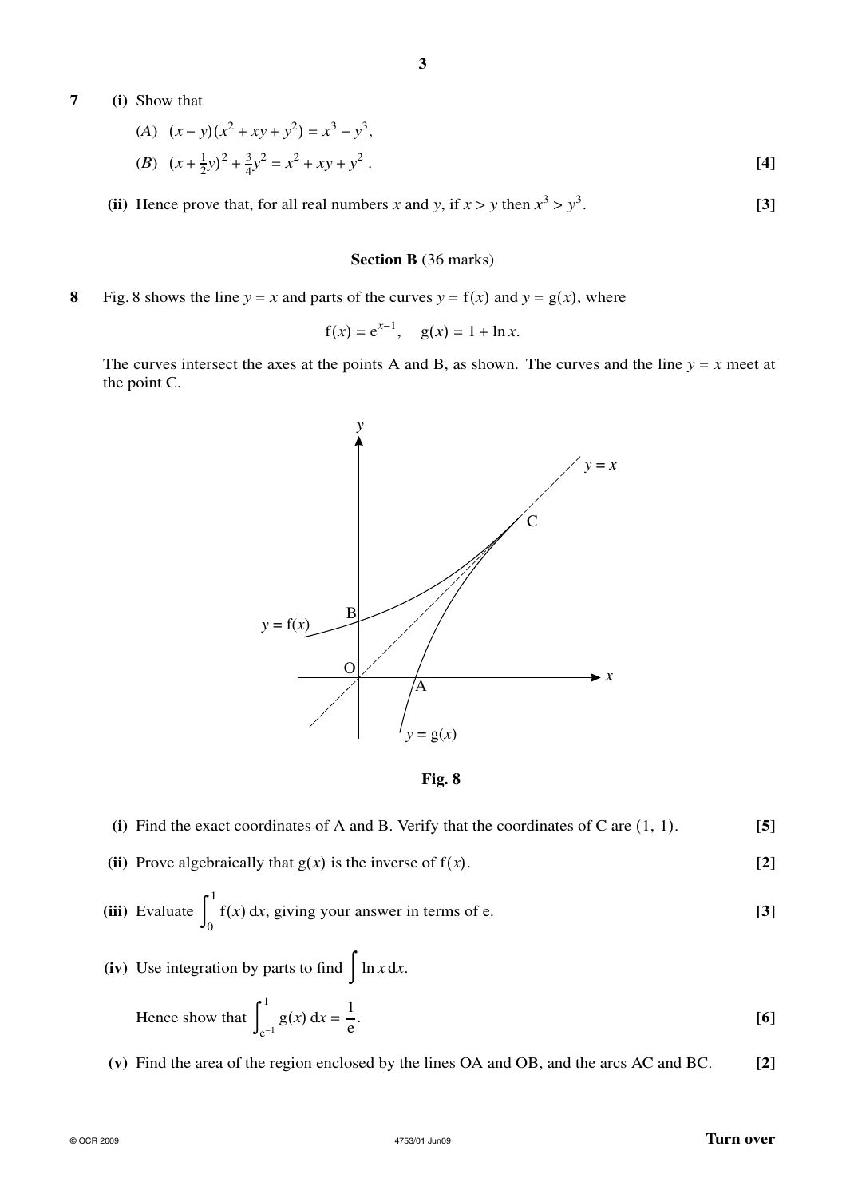# **7 (i)** Show that

(A) 
$$
(x - y)(x^2 + xy + y^2) = x^3 - y^3
$$
,  
\n(B)  $(x + \frac{1}{2}y)^2 + \frac{3}{4}y^2 = x^2 + xy + y^2$ . [4]

(ii) Hence prove that, for all real numbers *x* and *y*, if  $x > y$  then  $x^3 > y^3$ . **[3]**

### **Section B** (36 marks)

**8** Fig. 8 shows the line  $y = x$  and parts of the curves  $y = f(x)$  and  $y = g(x)$ , where

$$
f(x) = e^{x-1}
$$
,  $g(x) = 1 + \ln x$ .

The curves intersect the axes at the points A and B, as shown. The curves and the line  $y = x$  meet at the point C.



**Fig. 8**

- **(i)** Find the exact coordinates of A and B. Verify that the coordinates of C are (1, 1). **[5]**
- **(ii)** Prove algebraically that  $g(x)$  is the inverse of  $f(x)$ . [2]

(iii) Evaluate 
$$
\int_0^1 f(x) dx
$$
, giving your answer in terms of e. [3]

(iv) Use integration by parts to find  $\int \ln x \, dx$ .

Hence show that 
$$
\int_{e^{-1}}^{1} g(x) dx = \frac{1}{e}.
$$
 [6]

**(v)** Find the area of the region enclosed by the lines OA and OB, and the arcs AC and BC. **[2]**